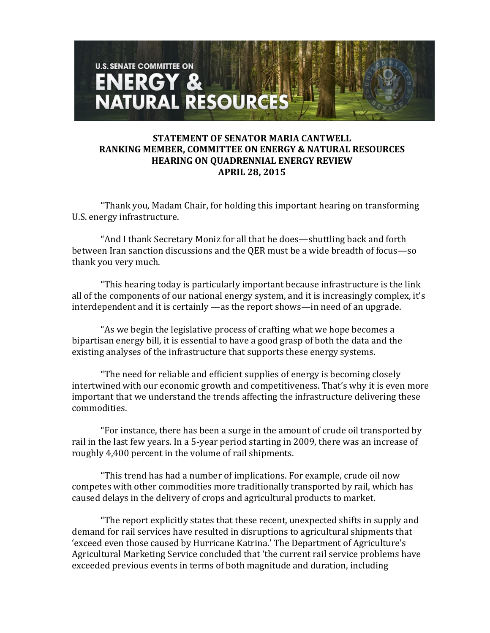

## **STATEMENT OF SENATOR MARIA CANTWELL RANKING MEMBER, COMMITTEE ON ENERGY & NATURAL RESOURCES HEARING ON QUADRENNIAL ENERGY REVIEW APRIL 28, 2015**

"Thank you, Madam Chair, for holding this important hearing on transforming U.S. energy infrastructure.

"And I thank Secretary Moniz for all that he does—shuttling back and forth between Iran sanction discussions and the QER must be a wide breadth of focus—so thank you very much.

"This hearing today is particularly important because infrastructure is the link all of the components of our national energy system, and it is increasingly complex, it's interdependent and it is certainly —as the report shows—in need of an upgrade.

"As we begin the legislative process of crafting what we hope becomes a bipartisan energy bill, it is essential to have a good grasp of both the data and the existing analyses of the infrastructure that supports these energy systems.

"The need for reliable and efficient supplies of energy is becoming closely intertwined with our economic growth and competitiveness. That's why it is even more important that we understand the trends affecting the infrastructure delivering these commodities.

"For instance, there has been a surge in the amount of crude oil transported by rail in the last few years. In a 5-year period starting in 2009, there was an increase of roughly 4,400 percent in the volume of rail shipments.

"This trend has had a number of implications. For example, crude oil now competes with other commodities more traditionally transported by rail, which has caused delays in the delivery of crops and agricultural products to market.

"The report explicitly states that these recent, unexpected shifts in supply and demand for rail services have resulted in disruptions to agricultural shipments that 'exceed even those caused by Hurricane Katrina.' The Department of Agriculture's Agricultural Marketing Service concluded that 'the current rail service problems have exceeded previous events in terms of both magnitude and duration, including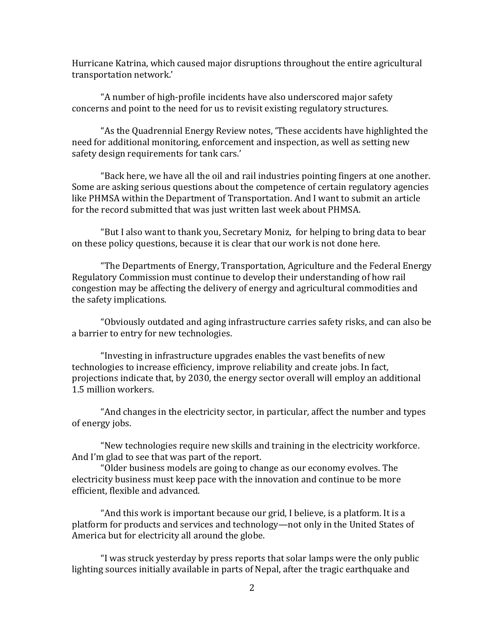Hurricane Katrina, which caused major disruptions throughout the entire agricultural transportation network.'

"A number of high-profile incidents have also underscored major safety concerns and point to the need for us to revisit existing regulatory structures.

"As the Quadrennial Energy Review notes, 'These accidents have highlighted the need for additional monitoring, enforcement and inspection, as well as setting new safety design requirements for tank cars.'

"Back here, we have all the oil and rail industries pointing fingers at one another. Some are asking serious questions about the competence of certain regulatory agencies like PHMSA within the Department of Transportation. And I want to submit an article for the record submitted that was just written last week about PHMSA.

"But I also want to thank you, Secretary Moniz, for helping to bring data to bear on these policy questions, because it is clear that our work is not done here.

"The Departments of Energy, Transportation, Agriculture and the Federal Energy Regulatory Commission must continue to develop their understanding of how rail congestion may be affecting the delivery of energy and agricultural commodities and the safety implications.

"Obviously outdated and aging infrastructure carries safety risks, and can also be a barrier to entry for new technologies.

"Investing in infrastructure upgrades enables the vast benefits of new technologies to increase efficiency, improve reliability and create jobs. In fact, projections indicate that, by 2030, the energy sector overall will employ an additional 1.5 million workers.

"And changes in the electricity sector, in particular, affect the number and types of energy jobs.

"New technologies require new skills and training in the electricity workforce. And I'm glad to see that was part of the report.

"Older business models are going to change as our economy evolves. The electricity business must keep pace with the innovation and continue to be more efficient, flexible and advanced.

"And this work is important because our grid, I believe, is a platform. It is a platform for products and services and technology—not only in the United States of America but for electricity all around the globe.

"I was struck yesterday by press reports that solar lamps were the only public lighting sources initially available in parts of Nepal, after the tragic earthquake and